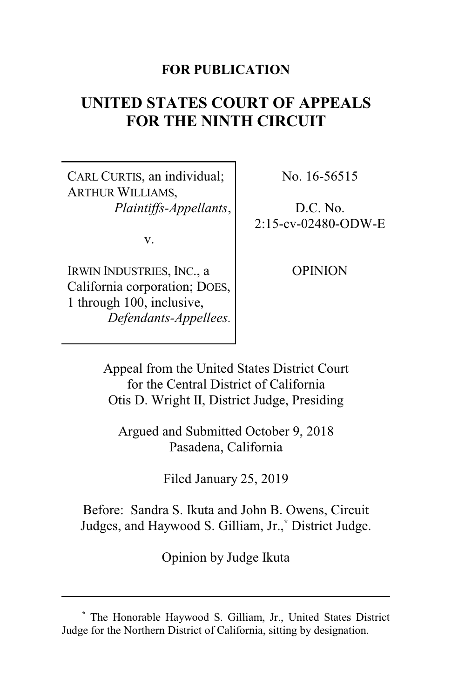## **FOR PUBLICATION**

# **UNITED STATES COURT OF APPEALS FOR THE NINTH CIRCUIT**

CARL CURTIS, an individual; ARTHUR WILLIAMS, *Plaintiffs-Appellants*,

v.

IRWIN INDUSTRIES, INC., a California corporation; DOES, 1 through 100, inclusive, *Defendants-Appellees.* No. 16-56515

D.C. No. 2:15-cv-02480-ODW-E

**OPINION** 

Appeal from the United States District Court for the Central District of California Otis D. Wright II, District Judge, Presiding

Argued and Submitted October 9, 2018 Pasadena, California

Filed January 25, 2019

Before: Sandra S. Ikuta and John B. Owens, Circuit Judges, and Haywood S. Gilliam, Jr.,**\*** District Judge.

Opinion by Judge Ikuta

**<sup>\*</sup>** The Honorable Haywood S. Gilliam, Jr., United States District Judge for the Northern District of California, sitting by designation.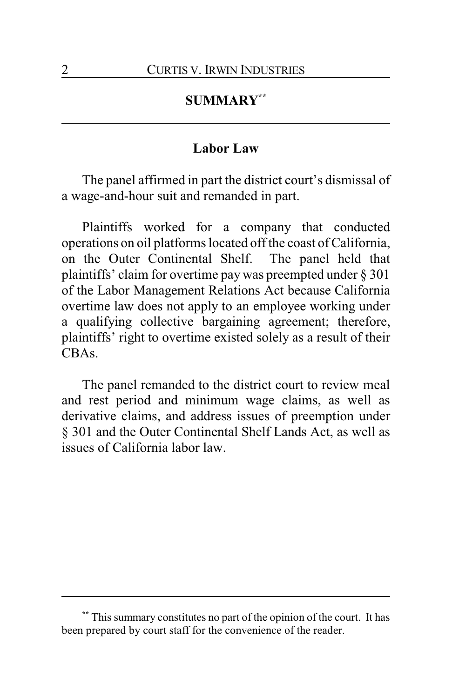# **SUMMARY\*\***

## **Labor Law**

The panel affirmed in part the district court's dismissal of a wage-and-hour suit and remanded in part.

Plaintiffs worked for a company that conducted operations on oil platforms located off the coast of California, on the Outer Continental Shelf. The panel held that plaintiffs' claim for overtime pay was preempted under § 301 of the Labor Management Relations Act because California overtime law does not apply to an employee working under a qualifying collective bargaining agreement; therefore, plaintiffs' right to overtime existed solely as a result of their CBAs.

The panel remanded to the district court to review meal and rest period and minimum wage claims, as well as derivative claims, and address issues of preemption under § 301 and the Outer Continental Shelf Lands Act, as well as issues of California labor law.

**<sup>\*\*</sup>** This summary constitutes no part of the opinion of the court. It has been prepared by court staff for the convenience of the reader.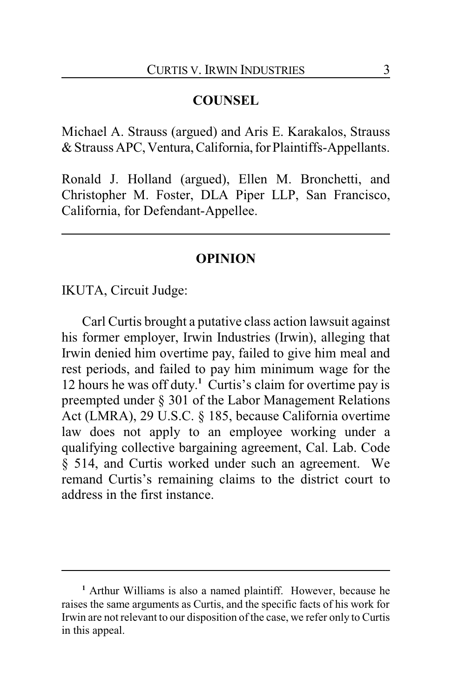## **COUNSEL**

Michael A. Strauss (argued) and Aris E. Karakalos, Strauss &Strauss APC,Ventura,California,forPlaintiffs-Appellants.

Ronald J. Holland (argued), Ellen M. Bronchetti, and Christopher M. Foster, DLA Piper LLP, San Francisco, California, for Defendant-Appellee.

## **OPINION**

IKUTA, Circuit Judge:

Carl Curtis brought a putative class action lawsuit against his former employer, Irwin Industries (Irwin), alleging that Irwin denied him overtime pay, failed to give him meal and rest periods, and failed to pay him minimum wage for the 12 hours he was off duty. **<sup>1</sup>** Curtis's claim for overtime pay is preempted under § 301 of the Labor Management Relations Act (LMRA), 29 U.S.C. § 185, because California overtime law does not apply to an employee working under a qualifying collective bargaining agreement, Cal. Lab. Code § 514, and Curtis worked under such an agreement. We remand Curtis's remaining claims to the district court to address in the first instance.

**<sup>1</sup>** Arthur Williams is also a named plaintiff. However, because he raises the same arguments as Curtis, and the specific facts of his work for Irwin are not relevant to our disposition of the case, we refer only to Curtis in this appeal.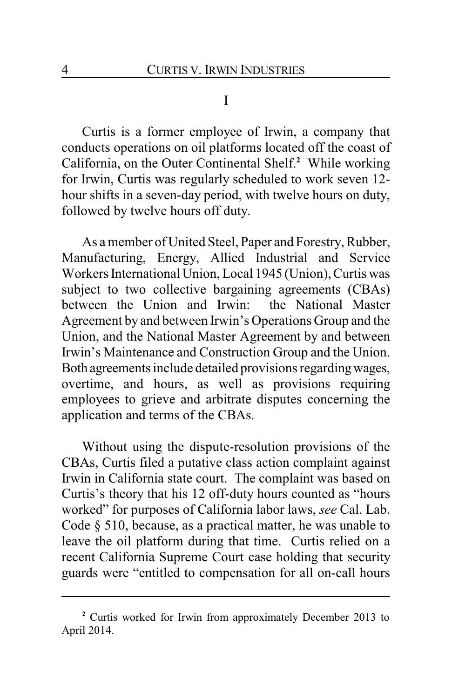I

Curtis is a former employee of Irwin, a company that conducts operations on oil platforms located off the coast of California, on the Outer Continental Shelf.**<sup>2</sup>** While working for Irwin, Curtis was regularly scheduled to work seven 12 hour shifts in a seven-day period, with twelve hours on duty, followed by twelve hours off duty.

As a member of United Steel, Paper and Forestry, Rubber, Manufacturing, Energy, Allied Industrial and Service Workers International Union, Local 1945 (Union), Curtis was subject to two collective bargaining agreements (CBAs) between the Union and Irwin: the National Master Agreement by and between Irwin's Operations Group and the Union, and the National Master Agreement by and between Irwin's Maintenance and Construction Group and the Union. Both agreements include detailed provisions regardingwages, overtime, and hours, as well as provisions requiring employees to grieve and arbitrate disputes concerning the application and terms of the CBAs.

Without using the dispute-resolution provisions of the CBAs, Curtis filed a putative class action complaint against Irwin in California state court. The complaint was based on Curtis's theory that his 12 off-duty hours counted as "hours worked" for purposes of California labor laws, *see* Cal. Lab. Code § 510, because, as a practical matter, he was unable to leave the oil platform during that time. Curtis relied on a recent California Supreme Court case holding that security guards were "entitled to compensation for all on-call hours

**<sup>2</sup>** Curtis worked for Irwin from approximately December 2013 to April 2014.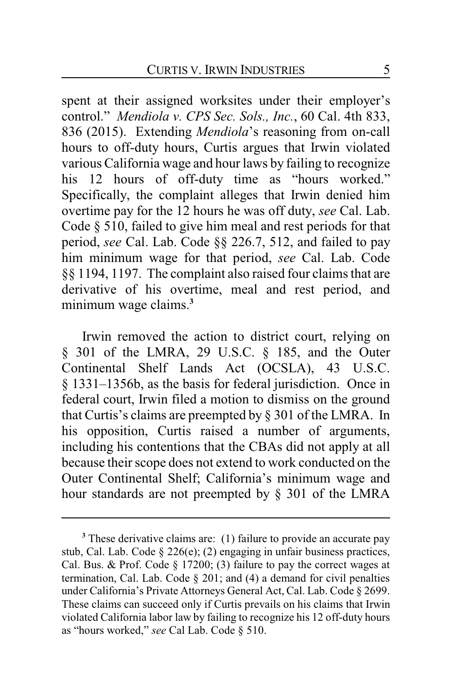spent at their assigned worksites under their employer's control." *Mendiola v. CPS Sec. Sols., Inc.*, 60 Cal. 4th 833, 836 (2015). Extending *Mendiola*'s reasoning from on-call hours to off-duty hours, Curtis argues that Irwin violated various California wage and hour laws by failing to recognize his 12 hours of off-duty time as "hours worked." Specifically, the complaint alleges that Irwin denied him overtime pay for the 12 hours he was off duty, *see* Cal. Lab. Code § 510, failed to give him meal and rest periods for that period, *see* Cal. Lab. Code §§ 226.7, 512, and failed to pay him minimum wage for that period, *see* Cal. Lab. Code §§ 1194, 1197. The complaint also raised four claims that are derivative of his overtime, meal and rest period, and minimum wage claims.**<sup>3</sup>**

Irwin removed the action to district court, relying on § 301 of the LMRA, 29 U.S.C. § 185, and the Outer Continental Shelf Lands Act (OCSLA), 43 U.S.C. § 1331–1356b, as the basis for federal jurisdiction. Once in federal court, Irwin filed a motion to dismiss on the ground that Curtis's claims are preempted by § 301 of the LMRA. In his opposition, Curtis raised a number of arguments, including his contentions that the CBAs did not apply at all because their scope does not extend to work conducted on the Outer Continental Shelf; California's minimum wage and hour standards are not preempted by § 301 of the LMRA

**<sup>3</sup>** These derivative claims are: (1) failure to provide an accurate pay stub, Cal. Lab. Code § 226(e); (2) engaging in unfair business practices, Cal. Bus. & Prof. Code § 17200; (3) failure to pay the correct wages at termination, Cal. Lab. Code  $\S 201$ ; and (4) a demand for civil penalties under California's Private Attorneys General Act, Cal. Lab. Code § 2699. These claims can succeed only if Curtis prevails on his claims that Irwin violated California labor law by failing to recognize his 12 off-duty hours as "hours worked," *see* Cal Lab. Code § 510.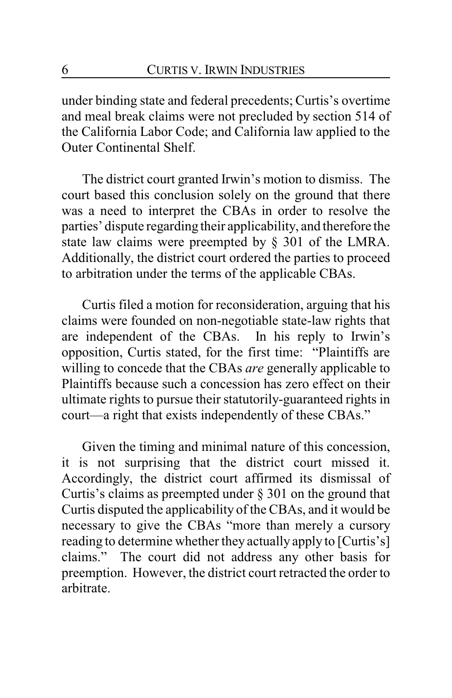under binding state and federal precedents; Curtis's overtime and meal break claims were not precluded by section 514 of the California Labor Code; and California law applied to the Outer Continental Shelf.

The district court granted Irwin's motion to dismiss. The court based this conclusion solely on the ground that there was a need to interpret the CBAs in order to resolve the parties' dispute regarding their applicability, and therefore the state law claims were preempted by § 301 of the LMRA. Additionally, the district court ordered the parties to proceed to arbitration under the terms of the applicable CBAs.

Curtis filed a motion for reconsideration, arguing that his claims were founded on non-negotiable state-law rights that are independent of the CBAs. In his reply to Irwin's opposition, Curtis stated, for the first time: "Plaintiffs are willing to concede that the CBAs *are* generally applicable to Plaintiffs because such a concession has zero effect on their ultimate rights to pursue their statutorily-guaranteed rights in court—a right that exists independently of these CBAs."

Given the timing and minimal nature of this concession, it is not surprising that the district court missed it. Accordingly, the district court affirmed its dismissal of Curtis's claims as preempted under § 301 on the ground that Curtis disputed the applicability of the CBAs, and it would be necessary to give the CBAs "more than merely a cursory reading to determine whether they actually apply to [Curtis's] claims." The court did not address any other basis for preemption. However, the district court retracted the order to arbitrate.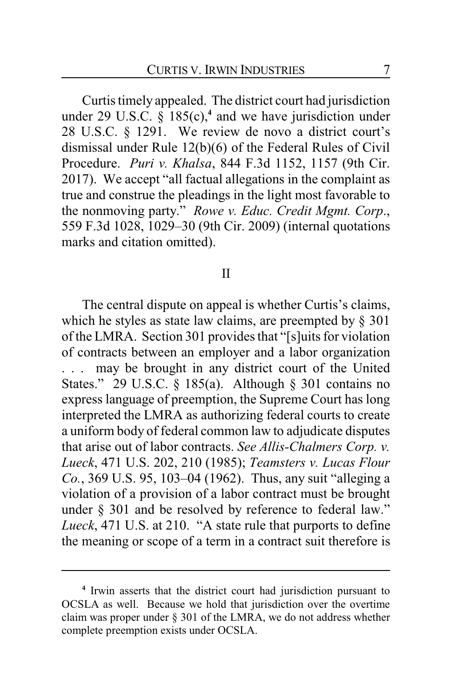Curtis timely appealed. The district court had jurisdiction under 29 U.S.C. § 185(c),**<sup>4</sup>** and we have jurisdiction under 28 U.S.C. § 1291. We review de novo a district court's dismissal under Rule 12(b)(6) of the Federal Rules of Civil Procedure. *Puri v. Khalsa*, 844 F.3d 1152, 1157 (9th Cir. 2017). We accept "all factual allegations in the complaint as true and construe the pleadings in the light most favorable to the nonmoving party." *Rowe v. Educ. Credit Mgmt. Corp*., 559 F.3d 1028, 1029–30 (9th Cir. 2009) (internal quotations marks and citation omitted).

#### II

The central dispute on appeal is whether Curtis's claims, which he styles as state law claims, are preempted by § 301 of the LMRA. Section 301 provides that "[s]uits for violation of contracts between an employer and a labor organization . . . may be brought in any district court of the United States." 29 U.S.C. § 185(a). Although § 301 contains no express language of preemption, the Supreme Court has long interpreted the LMRA as authorizing federal courts to create a uniform body of federal common law to adjudicate disputes that arise out of labor contracts. *See Allis-Chalmers Corp. v. Lueck*, 471 U.S. 202, 210 (1985); *Teamsters v. Lucas Flour Co.*, 369 U.S. 95, 103–04 (1962). Thus, any suit "alleging a violation of a provision of a labor contract must be brought under § 301 and be resolved by reference to federal law." *Lueck*, 471 U.S. at 210. "A state rule that purports to define the meaning or scope of a term in a contract suit therefore is

**<sup>4</sup>** Irwin asserts that the district court had jurisdiction pursuant to OCSLA as well. Because we hold that jurisdiction over the overtime claim was proper under § 301 of the LMRA, we do not address whether complete preemption exists under OCSLA.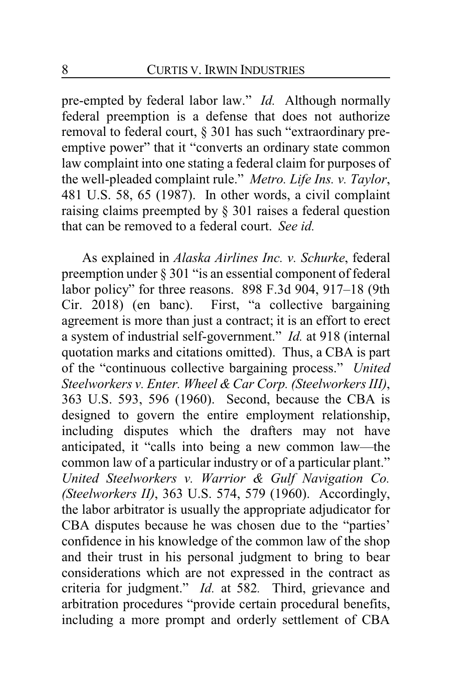pre-empted by federal labor law." *Id.* Although normally federal preemption is a defense that does not authorize removal to federal court, § 301 has such "extraordinary preemptive power" that it "converts an ordinary state common law complaint into one stating a federal claim for purposes of the well-pleaded complaint rule." *Metro. Life Ins. v. Taylor*, 481 U.S. 58, 65 (1987). In other words, a civil complaint raising claims preempted by § 301 raises a federal question that can be removed to a federal court. *See id.*

As explained in *Alaska Airlines Inc. v. Schurke*, federal preemption under § 301 "is an essential component of federal labor policy" for three reasons. 898 F.3d 904, 917–18 (9th Cir. 2018) (en banc). First, "a collective bargaining agreement is more than just a contract; it is an effort to erect a system of industrial self-government." *Id.* at 918 (internal quotation marks and citations omitted). Thus, a CBA is part of the "continuous collective bargaining process." *United Steelworkers v. Enter. Wheel & Car Corp. (Steelworkers III)*, 363 U.S. 593, 596 (1960). Second, because the CBA is designed to govern the entire employment relationship, including disputes which the drafters may not have anticipated, it "calls into being a new common law—the common law of a particular industry or of a particular plant." *United Steelworkers v. Warrior & Gulf Navigation Co. (Steelworkers II)*, 363 U.S. 574, 579 (1960). Accordingly, the labor arbitrator is usually the appropriate adjudicator for CBA disputes because he was chosen due to the "parties' confidence in his knowledge of the common law of the shop and their trust in his personal judgment to bring to bear considerations which are not expressed in the contract as criteria for judgment." *Id.* at 582*.* Third, grievance and arbitration procedures "provide certain procedural benefits, including a more prompt and orderly settlement of CBA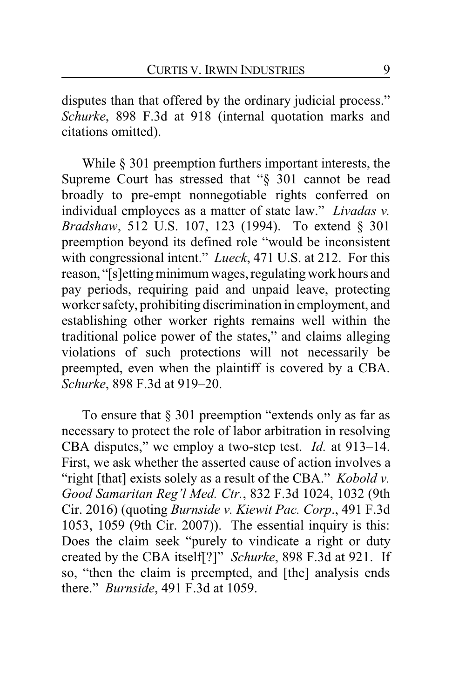disputes than that offered by the ordinary judicial process." *Schurke*, 898 F.3d at 918 (internal quotation marks and citations omitted).

While § 301 preemption furthers important interests, the Supreme Court has stressed that "§ 301 cannot be read broadly to pre-empt nonnegotiable rights conferred on individual employees as a matter of state law." *Livadas v. Bradshaw*, 512 U.S. 107, 123 (1994). To extend § 301 preemption beyond its defined role "would be inconsistent with congressional intent." *Lueck*, 471 U.S. at 212. For this reason, "[s]etting minimum wages, regulating work hours and pay periods, requiring paid and unpaid leave, protecting worker safety, prohibiting discrimination in employment, and establishing other worker rights remains well within the traditional police power of the states," and claims alleging violations of such protections will not necessarily be preempted, even when the plaintiff is covered by a CBA. *Schurke*, 898 F.3d at 919–20.

To ensure that § 301 preemption "extends only as far as necessary to protect the role of labor arbitration in resolving CBA disputes," we employ a two-step test. *Id.* at 913–14. First, we ask whether the asserted cause of action involves a "right [that] exists solely as a result of the CBA." *Kobold v. Good Samaritan Reg'l Med. Ctr.*, 832 F.3d 1024, 1032 (9th Cir. 2016) (quoting *Burnside v. Kiewit Pac. Corp*., 491 F.3d 1053, 1059 (9th Cir. 2007)). The essential inquiry is this: Does the claim seek "purely to vindicate a right or duty created by the CBA itself[?]" *Schurke*, 898 F.3d at 921. If so, "then the claim is preempted, and [the] analysis ends there." *Burnside*, 491 F.3d at 1059.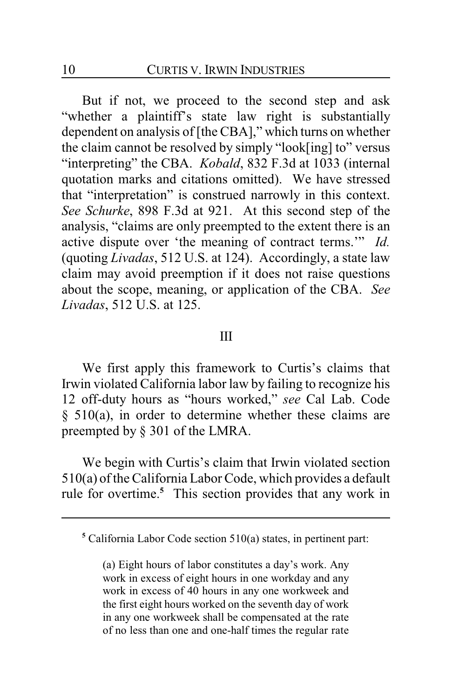But if not, we proceed to the second step and ask "whether a plaintiff's state law right is substantially dependent on analysis of [the CBA]," which turns on whether the claim cannot be resolved by simply "look[ing] to" versus "interpreting" the CBA. *Kobald*, 832 F.3d at 1033 (internal quotation marks and citations omitted). We have stressed that "interpretation" is construed narrowly in this context. *See Schurke*, 898 F.3d at 921. At this second step of the analysis, "claims are only preempted to the extent there is an active dispute over 'the meaning of contract terms.'" *Id.* (quoting *Livadas*, 512 U.S. at 124). Accordingly, a state law claim may avoid preemption if it does not raise questions about the scope, meaning, or application of the CBA. *See Livadas*, 512 U.S. at 125.

#### III

We first apply this framework to Curtis's claims that Irwin violated California labor law by failing to recognize his 12 off-duty hours as "hours worked," *see* Cal Lab. Code § 510(a), in order to determine whether these claims are preempted by § 301 of the LMRA.

We begin with Curtis's claim that Irwin violated section 510(a) of the California Labor Code, which provides a default rule for overtime.**<sup>5</sup>** This section provides that any work in

**<sup>5</sup>** California Labor Code section 510(a) states, in pertinent part:

<sup>(</sup>a) Eight hours of labor constitutes a day's work. Any work in excess of eight hours in one workday and any work in excess of 40 hours in any one workweek and the first eight hours worked on the seventh day of work in any one workweek shall be compensated at the rate of no less than one and one-half times the regular rate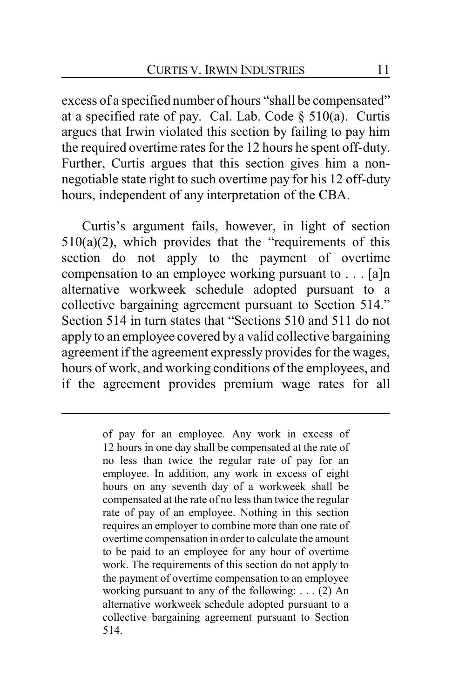excess of a specified number of hours "shall be compensated" at a specified rate of pay. Cal. Lab. Code  $\S$  510(a). Curtis argues that Irwin violated this section by failing to pay him the required overtime rates for the 12 hours he spent off-duty. Further, Curtis argues that this section gives him a nonnegotiable state right to such overtime pay for his 12 off-duty hours, independent of any interpretation of the CBA.

Curtis's argument fails, however, in light of section  $510(a)(2)$ , which provides that the "requirements of this section do not apply to the payment of overtime compensation to an employee working pursuant to . . . [a]n alternative workweek schedule adopted pursuant to a collective bargaining agreement pursuant to Section 514." Section 514 in turn states that "Sections 510 and 511 do not apply to an employee covered by a valid collective bargaining agreement if the agreement expressly provides for the wages, hours of work, and working conditions of the employees, and if the agreement provides premium wage rates for all

of pay for an employee. Any work in excess of 12 hours in one day shall be compensated at the rate of no less than twice the regular rate of pay for an employee. In addition, any work in excess of eight hours on any seventh day of a workweek shall be compensated at the rate of no less than twice the regular rate of pay of an employee. Nothing in this section requires an employer to combine more than one rate of overtime compensation in order to calculate the amount to be paid to an employee for any hour of overtime work. The requirements of this section do not apply to the payment of overtime compensation to an employee working pursuant to any of the following: . . . (2) An alternative workweek schedule adopted pursuant to a collective bargaining agreement pursuant to Section 514.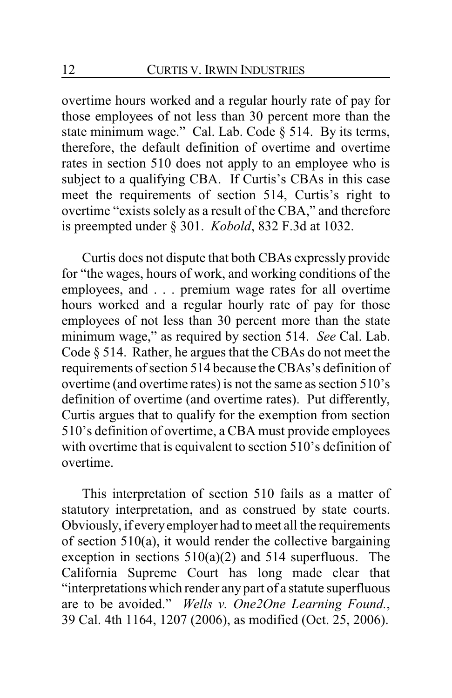overtime hours worked and a regular hourly rate of pay for those employees of not less than 30 percent more than the state minimum wage." Cal. Lab. Code § 514. By its terms, therefore, the default definition of overtime and overtime rates in section 510 does not apply to an employee who is subject to a qualifying CBA. If Curtis's CBAs in this case meet the requirements of section 514, Curtis's right to overtime "exists solely as a result of the CBA," and therefore is preempted under § 301. *Kobold*, 832 F.3d at 1032.

Curtis does not dispute that both CBAs expressly provide for "the wages, hours of work, and working conditions of the employees, and . . . premium wage rates for all overtime hours worked and a regular hourly rate of pay for those employees of not less than 30 percent more than the state minimum wage," as required by section 514. *See* Cal. Lab. Code § 514. Rather, he argues that the CBAs do not meet the requirements of section 514 because the CBAs's definition of overtime (and overtime rates) is not the same as section 510's definition of overtime (and overtime rates). Put differently, Curtis argues that to qualify for the exemption from section 510's definition of overtime, a CBA must provide employees with overtime that is equivalent to section 510's definition of overtime.

This interpretation of section 510 fails as a matter of statutory interpretation, and as construed by state courts. Obviously, if everyemployer had to meet all the requirements of section 510(a), it would render the collective bargaining exception in sections  $510(a)(2)$  and  $514$  superfluous. The California Supreme Court has long made clear that "interpretations which render any part of a statute superfluous are to be avoided." *Wells v. One2One Learning Found.*, 39 Cal. 4th 1164, 1207 (2006), as modified (Oct. 25, 2006).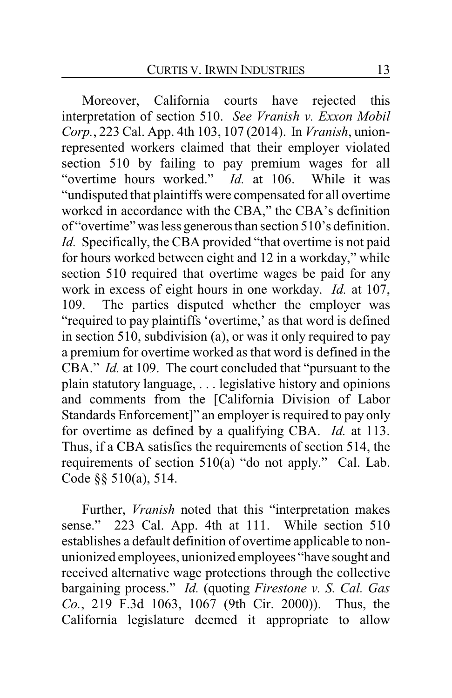Moreover, California courts have rejected this interpretation of section 510. *See Vranish v. Exxon Mobil Corp.*, 223 Cal. App. 4th 103, 107 (2014). In *Vranish*, unionrepresented workers claimed that their employer violated section 510 by failing to pay premium wages for all "overtime hours worked." *Id.* at 106. While it was "undisputed that plaintiffs were compensated for all overtime worked in accordance with the CBA," the CBA's definition of "overtime" was less generous than section 510's definition. *Id.* Specifically, the CBA provided "that overtime is not paid for hours worked between eight and 12 in a workday," while section 510 required that overtime wages be paid for any work in excess of eight hours in one workday. *Id.* at 107, 109. The parties disputed whether the employer was "required to pay plaintiffs 'overtime,' as that word is defined in section 510, subdivision (a), or was it only required to pay a premium for overtime worked as that word is defined in the CBA." *Id.* at 109. The court concluded that "pursuant to the plain statutory language, . . . legislative history and opinions and comments from the [California Division of Labor Standards Enforcement]" an employer is required to pay only for overtime as defined by a qualifying CBA. *Id.* at 113. Thus, if a CBA satisfies the requirements of section 514, the requirements of section 510(a) "do not apply." Cal. Lab. Code §§ 510(a), 514.

Further, *Vranish* noted that this "interpretation makes sense." 223 Cal. App. 4th at 111. While section 510 establishes a default definition of overtime applicable to nonunionized employees, unionized employees "have sought and received alternative wage protections through the collective bargaining process." *Id.* (quoting *Firestone v. S. Cal. Gas Co.*, 219 F.3d 1063, 1067 (9th Cir. 2000)). Thus, the California legislature deemed it appropriate to allow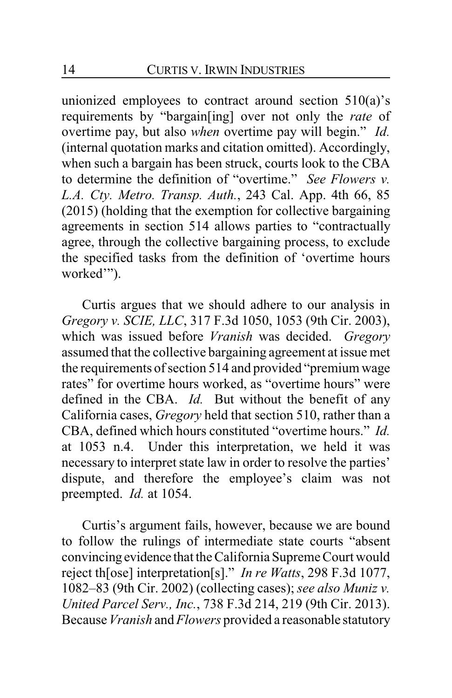unionized employees to contract around section 510(a)'s requirements by "bargain[ing] over not only the *rate* of overtime pay, but also *when* overtime pay will begin." *Id.* (internal quotation marks and citation omitted). Accordingly, when such a bargain has been struck, courts look to the CBA to determine the definition of "overtime." *See Flowers v. L.A. Cty. Metro. Transp. Auth.*, 243 Cal. App. 4th 66, 85 (2015) (holding that the exemption for collective bargaining agreements in section 514 allows parties to "contractually agree, through the collective bargaining process, to exclude the specified tasks from the definition of 'overtime hours worked"").

Curtis argues that we should adhere to our analysis in *Gregory v. SCIE, LLC*, 317 F.3d 1050, 1053 (9th Cir. 2003), which was issued before *Vranish* was decided. *Gregory* assumed that the collective bargaining agreement at issue met the requirements of section 514 and provided "premium wage rates" for overtime hours worked, as "overtime hours" were defined in the CBA. *Id.* But without the benefit of any California cases, *Gregory* held that section 510, rather than a CBA, defined which hours constituted "overtime hours." *Id.* at 1053 n.4. Under this interpretation, we held it was necessary to interpret state law in order to resolve the parties' dispute, and therefore the employee's claim was not preempted. *Id.* at 1054.

Curtis's argument fails, however, because we are bound to follow the rulings of intermediate state courts "absent convincingevidence that the California Supreme Court would reject th[ose] interpretation[s]." *In re Watts*, 298 F.3d 1077, 1082–83 (9th Cir. 2002) (collecting cases); *see also Muniz v. United Parcel Serv., Inc.*, 738 F.3d 214, 219 (9th Cir. 2013). Because *Vranish* and *Flowers* provided a reasonable statutory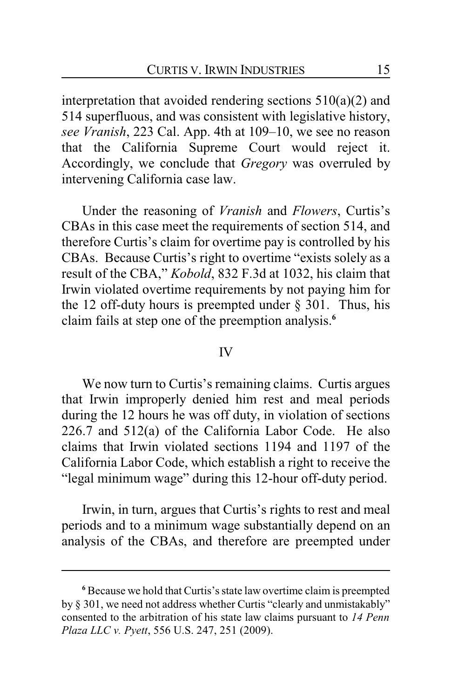interpretation that avoided rendering sections 510(a)(2) and 514 superfluous, and was consistent with legislative history, *see Vranish*, 223 Cal. App. 4th at 109–10, we see no reason that the California Supreme Court would reject it. Accordingly, we conclude that *Gregory* was overruled by intervening California case law.

Under the reasoning of *Vranish* and *Flowers*, Curtis's CBAs in this case meet the requirements of section 514, and therefore Curtis's claim for overtime pay is controlled by his CBAs. Because Curtis's right to overtime "exists solely as a result of the CBA," *Kobold*, 832 F.3d at 1032, his claim that Irwin violated overtime requirements by not paying him for the 12 off-duty hours is preempted under  $\S$  301. Thus, his claim fails at step one of the preemption analysis.**<sup>6</sup>**

#### IV

We now turn to Curtis's remaining claims. Curtis argues that Irwin improperly denied him rest and meal periods during the 12 hours he was off duty, in violation of sections 226.7 and 512(a) of the California Labor Code. He also claims that Irwin violated sections 1194 and 1197 of the California Labor Code, which establish a right to receive the "legal minimum wage" during this 12-hour off-duty period.

Irwin, in turn, argues that Curtis's rights to rest and meal periods and to a minimum wage substantially depend on an analysis of the CBAs, and therefore are preempted under

**<sup>6</sup>** Because we hold that Curtis's state law overtime claim is preempted by § 301, we need not address whether Curtis "clearly and unmistakably" consented to the arbitration of his state law claims pursuant to *14 Penn Plaza LLC v. Pyett*, 556 U.S. 247, 251 (2009).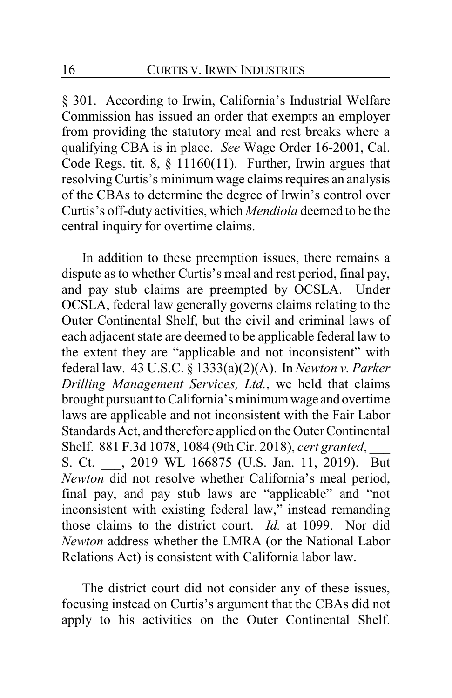§ 301. According to Irwin, California's Industrial Welfare Commission has issued an order that exempts an employer from providing the statutory meal and rest breaks where a qualifying CBA is in place. *See* Wage Order 16-2001, Cal. Code Regs. tit. 8,  $\S$  11160(11). Further, Irwin argues that resolvingCurtis's minimum wage claims requires an analysis of the CBAs to determine the degree of Irwin's control over Curtis's off-duty activities, which *Mendiola* deemed to be the central inquiry for overtime claims.

In addition to these preemption issues, there remains a dispute as to whether Curtis's meal and rest period, final pay, and pay stub claims are preempted by OCSLA. Under OCSLA, federal law generally governs claims relating to the Outer Continental Shelf, but the civil and criminal laws of each adjacent state are deemed to be applicable federal law to the extent they are "applicable and not inconsistent" with federal law. 43 U.S.C. § 1333(a)(2)(A). In *Newton v. Parker Drilling Management Services, Ltd.*, we held that claims brought pursuant to California's minimum wage and overtime laws are applicable and not inconsistent with the Fair Labor Standards Act, and therefore applied on the Outer Continental Shelf. 881 F.3d 1078, 1084 (9th Cir. 2018), *cert granted*, \_\_\_ S. Ct. , 2019 WL 166875 (U.S. Jan. 11, 2019). But *Newton* did not resolve whether California's meal period, final pay, and pay stub laws are "applicable" and "not inconsistent with existing federal law," instead remanding those claims to the district court. *Id.* at 1099. Nor did *Newton* address whether the LMRA (or the National Labor Relations Act) is consistent with California labor law.

The district court did not consider any of these issues, focusing instead on Curtis's argument that the CBAs did not apply to his activities on the Outer Continental Shelf.